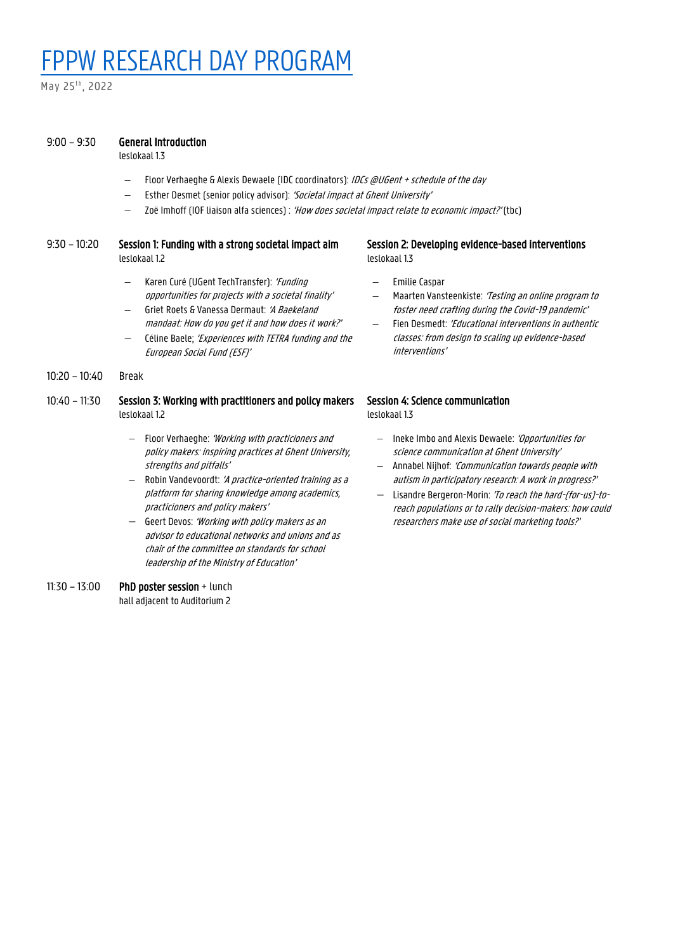# FPPW RESEARCH DAY PROGRAM

May 25<sup>th</sup>, 2022

#### 9:00 – 9:30 General Introduction

leslokaal 1.3

- − Floor Verhaeghe & Alexis Dewaele (IDC coordinators): IDCs @UGent + schedule of the day
- Esther Desmet (senior policy advisor): 'Societal impact at Ghent University'
- Zoë Imhoff (IOF liaison alfa sciences) : 'How does societal impact relate to economic impact?' (tbc)

#### 9:30 – 10:20 Session 1: Funding with a strong societal impact aim leslokaal 1.2

- Karen Curé (UGent TechTransfer): 'Funding opportunities for projects with a societal finality'
- Griet Roets & Vanessa Dermaut: 'A Baekeland mandaat: How do you get it and how does it work?'
- Céline Baele; 'Experiences with TETRA funding and the European Social Fund (ESF)'

10:20 – 10:40 Break

### 10:40 – 11:30 Session 3: Working with practitioners and policy makers leslokaal 1.2

- − Floor Verhaeghe: 'Working with practicioners and policy makers: inspiring practices at Ghent University, strengths and pitfalls'
- Robin Vandevoordt: 'A practice-oriented training as a platform for sharing knowledge among academics, practicioners and policy makers'
- − Geert Devos: 'Working with policy makers as an advisor to educational networks and unions and as chair of the committee on standards for school leadership of the Ministry of Education'

#### 11:30 – 13:00 PhD poster session + lunch hall adjacent to Auditorium 2

#### Session 2: Developing evidence-based interventions leslokaal 1.3

- − Emilie Caspar
- Maarten Vansteenkiste: 'Testing an online program to foster need crafting during the Covid-19 pandemic'
- Fien Desmedt: 'Educational interventions in authentic classes: from design to scaling up evidence-based interventions'

## Session 4: Science communication

leslokaal 1.3

- − Ineke Imbo and Alexis Dewaele: 'Opportunities for science communication at Ghent University'
- − Annabel Nijhof: 'Communication towards people with autism in participatory research: A work in progress?'
- − Lisandre Bergeron-Morin: 'To reach the hard-(for-us)-toreach populations or to rally decision-makers: how could researchers make use of social marketing tools?'